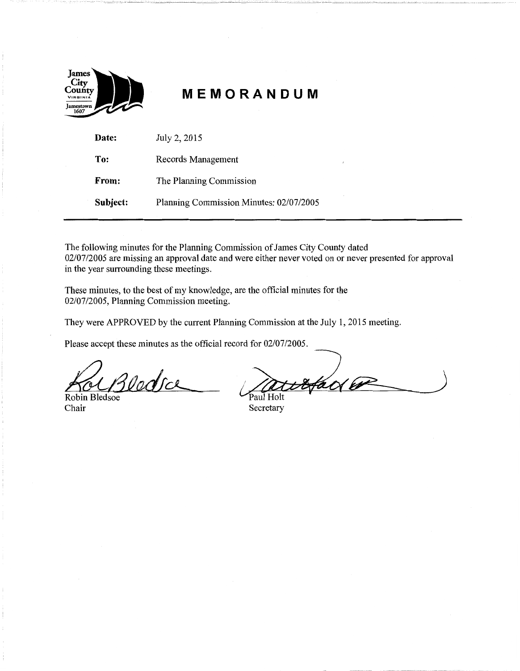

# **MEMORANDUM**

| Date:    | July 2, 2015                            |
|----------|-----------------------------------------|
| To:      | Records Management                      |
| From:    | The Planning Commission                 |
| Subject: | Planning Commission Minutes: 02/07/2005 |

The following minutes for the Planning Commission of James City County dated 02/07/2005 are missing an approval date and were either never voted on or never presented for approval in the year surrounding these meetings.

These minutes, to the best of my knowledge, are the official minutes for the 02/07/2005, Planning Commission meeting.

They were APPROVED by the current Planning Commission at the July 1, 2015 meeting.

Please accept these minutes as the official record for 02/07/2005.

3 lodsce

Robin Bledsoe Chair

Paul Holt

Paul Holt Secretary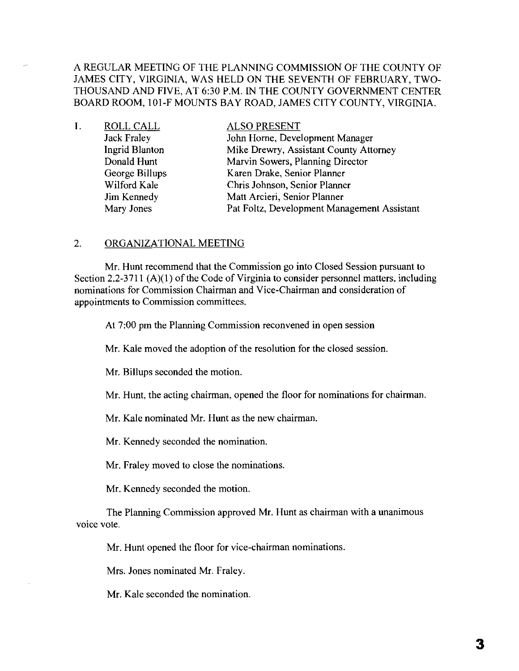A REGULAR MEETING OF THE PLANNING COMMISSION OF THE COUNTY OF JAMES CITY, VIRGINIA, WAS HELD ON THE SEVENTH OF FEBRUARY, TWO-THOUSAND AND FIVE, AT 6:30 P.M. IN THE COUNTY GOVERNMENT CENTER BOARD ROOM, 101-F MOUNTS BAY ROAD, JAMES CITY COUNTY, VIRGINIA.

| Ι. | ROLL CALL      | <b>ALSO PRESENT</b>                         |
|----|----------------|---------------------------------------------|
|    | Jack Fraley    | John Horne, Development Manager             |
|    | Ingrid Blanton | Mike Drewry, Assistant County Attorney      |
|    | Donald Hunt    | Marvin Sowers, Planning Director            |
|    | George Billups | Karen Drake, Senior Planner                 |
|    | Wilford Kale   | Chris Johnson, Senior Planner               |
|    | Jim Kennedy    | Matt Arcieri, Senior Planner                |
|    | Mary Jones     | Pat Foltz, Development Management Assistant |

## 2. ORGANIZATIONAL MEETING

Mr. Hunt recommend that the Commission go into Closed Session pursuant to Section 2.2-3711  $(A)(1)$  of the Code of Virginia to consider personnel matters, including nominations for Commission Chairman and Vice-Chairman and consideration of appointments to Commission committees.

At 7:00 pm the Planning Commission reconvened in open session

Mr. Kale moved the adoption of the resolution for the closed session.

Mr. Billups seconded the motion.

Mr. Hunt, the acting chairman, opened the floor for nominations for chairman.

Mr. Kale nominated Mr. Hunt as the new chairman.

Mr. Kennedy seconded the nomination.

Mr. Fraley moved to close the nominations.

Mr. Kennedy seconded the motion.

The Planning Commission approved Mr. Hunt as chairman with a unanimous voice vote.

Mr. Hunt opened the floor for vice-chairman nominations.

Mrs. Jones nominated Mr. Fraley.

Mr. Kale seconded the nomination.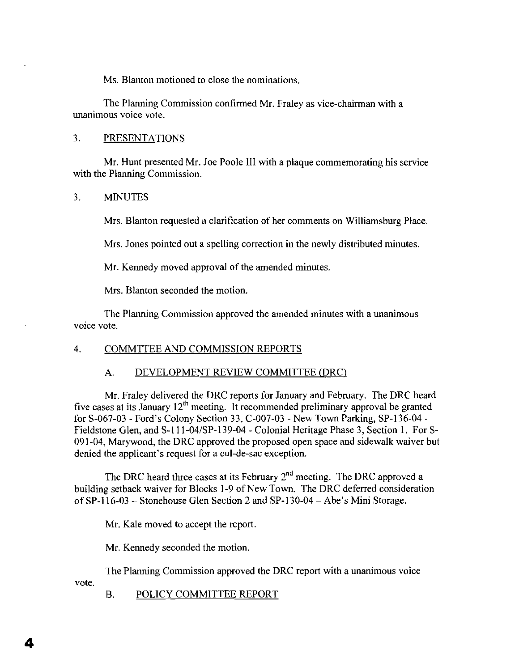Ms. Blanton motioned to close the nominations.

The Planning Commission confirmed Mr. Fraley as vice-chairman with a unanimous voice vote.

## 3. PRESENTATIONS

Mr. Hunt presented Mr. Joe Poole III with a plaque commemorating his service with the Planning Commission.

### 3. MINUTES

Mrs. Blanton requested a clarification of her comments on Williamsburg Place.

Mrs. Jones pointed out a spelling correction in the newly distributed minutes.

Mr. Kennedy moved approval of the amended minutes.

Mrs. Blanton seconded the motion.

The Planning Commission approved the amended minutes with a unanimous voice vote.

#### 4. COMMTTEE AND COMMISSION REPORTS

### A. DEVELOPMENT REVIEW COMMITTEE (DRC)

Mr. Fraley delivered the ORC reports for January and February. The DRC heard five cases at its January  $12<sup>th</sup>$  meeting. It recommended preliminary approval be granted for S-067-03 - Ford's Colony Section 33, C-007-03 - New Town Parking, SP-136-04 Fieldstone Glen, and S-III-04/SP-139-04 - Colonial Heritage Phase 3, Section I. For S-091-04, Marywood, the DRC approved the proposed open space and sidewalk waiver but denied the applicant's request for a cul-de-sac exception.

The DRC heard three cases at its February 2<sup>nd</sup> meeting. The DRC approved a building setback waiver for Blocks 1-9 of New Town. The DRC deferred consideration ofSP-116-03 - Stonehouse Glen Section 2 and SP-130-04 - Abe's Mini Storage.

Mr. Kale moved to accept the report.

Mr. Kennedy seconded the motion.

The Planning Commission approved the ORC report with a unanimous voice

vote.

4

B. POLICY COMMITTEE REPORT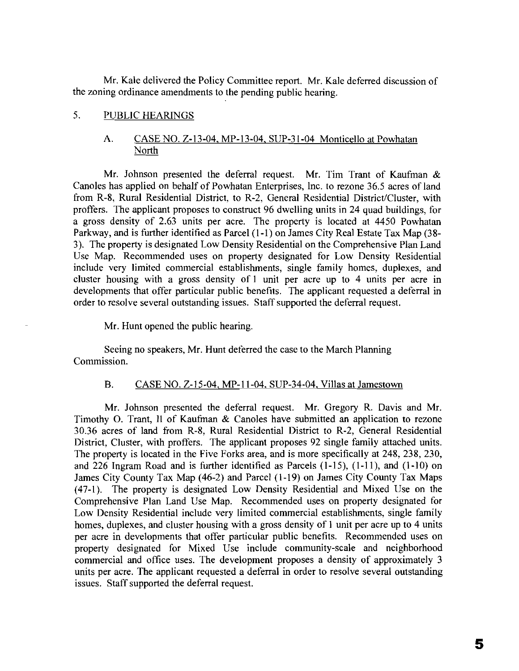Mr. Kale delivered the Policy Committee report. Mr. Kale deferred discussion of the zoning ordinance amendments to the pending public hearing.

# 5. PUBLIC HEARINGS

# A. CASE NO. Z-13-04, MP-13-04, SUP-31-04 Monticello at Powhatan North

Mr. Johnson presented the deferral request. Mr. Tim Trant of Kaufman & Canoles has applied on behalf of Powhatan Enterprises, Inc. to rezone 36.5 acres of land from R-8, Rural Residential District, to R-2, General Residential District/Cluster, with proffers. The applicant proposes to construct 96 dwelling units in 24 quad buildings, for a gross density of 2.63 units per acre. The property is located at 4450 Powhatan Parkway, and is further identified as Parcel (I-I) on James City Real Estate Tax Map (38 3). The property is designated Low Density Residential on the Comprehensive Plan Land Use Map. Recommended uses on property designated for Low Density Residential include very limited commercial establishments, single family homes, duplexes, and cluster housing with a gross density of I unit per acre up to 4 units per acre in developments that offer particular public benefits. The applicant requested a deferral in order to resolve several outstanding issues. Staff supported the deferral request.

Mr. Hunt opened the public hearing.

Seeing no speakers, Mr. Hunt deferred the case to the March Planning Commission.

## B. CASE NO. Z-15-04, MP-II-04, SUP-34-04, Villas at Jamestown

Mr. Johnson presented the deferral request. Mr. Gregory R. Davis and Mr. Timothy O. Trant, II of Kaufinan & Canoles have submitted an application to rezone 30.36 acres of land from R-8, Rural Residential District to R-2, General Residential District, Cluster, with proffers. The applicant proposes 92 single family attached units. The property is located in the Five Forks area, and is more specifically at 248, 238, 230, and 226 Ingram Road and is further identified as Parcels (1-15), (I-II), and (1-10) on James City County Tax Map (46-2) and Parcel (1-19) on James City County Tax Maps (47-1). The property is designated Low Density Residential and Mixed Use on the Comprehensive Plan Land Use Map. Recommended uses on property designated for Low Density Residential include very limited commercial establishments, single family homes, duplexes, and cluster housing with a gross density of I unit per acre up to 4 units per acre in developments that offer particular public benefits. Recommended uses on property designated for Mixed Use include community-scale and neighborhood commercial and office uses. The development proposes a density of approximately 3 units per acre. The applicant requested a deferral in order to resolve several outstanding issues. Staff supported the deferral request.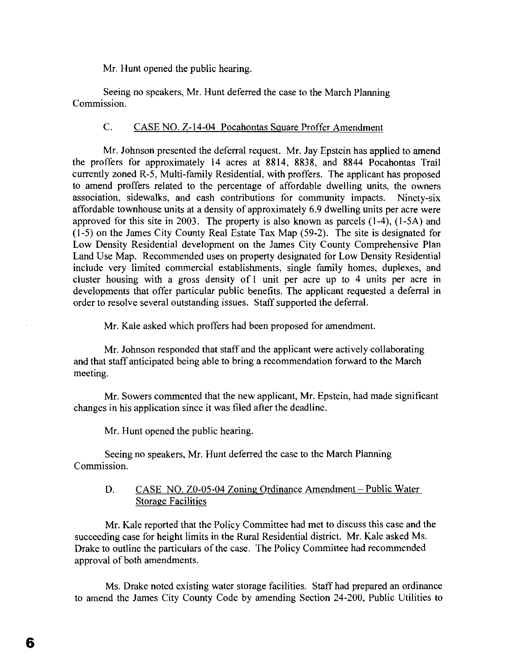Mr. Hunt opened the public hearing.

Seeing no speakers, Mr. Hunt deferred the case to the March Planning Commission.

# C. CASE NO. Z-14-04 Pocahontas Square Proffer Amendment

Mr. Johnson presented the deferral request. Mr. Jay Epstein has applied to amend the proffers for approximately 14 acres at 8814, 8838, and 8844 Pocahontas Trail currently zoned R-5, Multi-family Residential, with proffers. The applicant has proposed to amend proffers related to the percentage of affordable dwelling units, the owners association, sidewalks, and cash contributions for community impacts. Ninety-six affordable townhouse units at a density of approximately 6.9 dwelling units per acre were approved for this site in 2003. The property is also known as parcels (1-4), (I-SA) and (1-5) on the James City County Real Estate Tax Map (59-2). The site is designated for Low Density Residential development on the James City County Comprehensive Plan Land Use Map. Recommended uses on property designated for Low Density Residential include very limited commercial establishments, single family homes, duplexes, and cluster housing with a gross density of I unit per acre up to 4 units per acre in developments that offer particular public benefits. The applicant requested a deferral in order to resolve several outstanding issues. Staff supported the deferral.

Mr. Kale asked which proffers had been proposed for amendment.

Mr. Johnson responded that staff and the applicant were actively collaborating and that staff anticipated being able to bring a recommendation forward to the March meeting.

Mr. Sowers commented that the new applicant, Mr. Epstein, had made significant changes in his application since it was filed after the deadline.

Mr. Hunt opened the public hearing.

Seeing no speakers, Mr. Hunt deferred the case to the March Planning Commission.

# D. CASE NO. Z0-05-04 Zoning Ordinance Amendment - Public Water Storage Facilities

Mr. Kale reported that the Policy Committee had met to discuss this case and the succeeding case for height limits in the Rural Residential district. Mr. Kale asked Ms. Drake to outline the particulars of the case. The Policy Committee had recommended approval of both amendments.

Ms. Drake noted existing water storage facilities. Staff had prepared an ordinance to amend the James City County Code by amending Section 24-200, Public Utilities to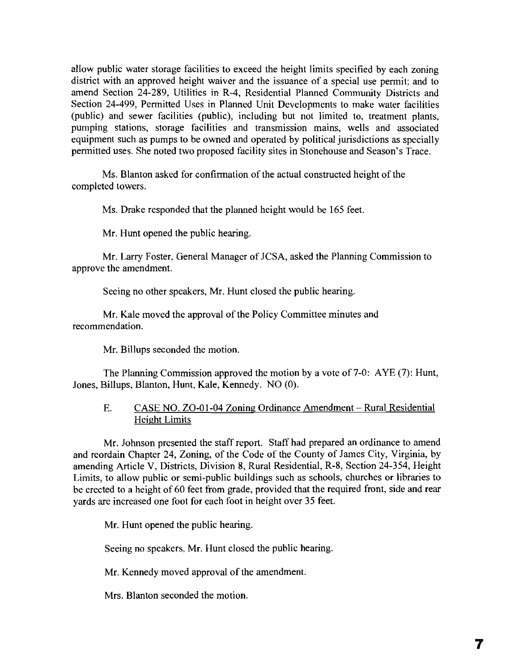allow public water storage facilities to exceed the height limits specified by each zoning district with an approved height waiver and the issuance of a special use permit; and to amend Section 24-289, Utilities in R-4, Residential Planned Community Districts and Section 24-499, Permitted Uses in Planned Unit Developments to make water facilities (public) and sewer facilities (public), including but not limited to, treatment plants, pumping stations, storage facilities and transmission mains, wells and associated equipment such as pumps to be owned and operated by political jurisdictions as specially permitted uses. She noted two proposed facility sites in Stonehouse and Season's Trace.

Ms. Blanton asked for confirmation of the actual constructed height of the completed towers.

Ms. Drake responded that the planned height would be 165 feet.

Mr. Hunt opened the public hearing.

Mr. Larry Foster, General Manager of JCSA, asked the Planning Commission to approve the amendment.

Seeing no other speakers, Mr. Hunt closed the public hearing.

Mr. Kale moved the approval of the Policy Committee minutes and recommendation.

Mr. Billups seconded the motion.

The Planning Commission approved the motion by a vote of 7-0: AYE (7): Hunt, Jones, Billups, Blanton, Hunt, Kale, Kennedy. NO (0).

# E. CASE NO. ZO-01-04 Zoning Ordinance Amendment – Rural Residential Height Limits

Mr. Johnson presented the staff report. Staff had prepared an ordinance to amend and reordain Chapter 24, Zoning, of the Code of the County of James City, Virginia, by amending Article V, Districts, Division 8, Rural Residential, R-8, Section 24-354, Height Limits, to allow public or semi-public buildings such as schools, churches or libraries to be erected to a height of 60 feet from grade, provided that the required front, side and rear yards are increased one foot for each foot in height over 35 feet.

Mr. Hunt opened the public hearing.

Seeing no speakers, Mr. Hunt closed the public hearing.

Mr. Kennedy moved approval of the amendment.

Mrs. Blanton seconded the motion.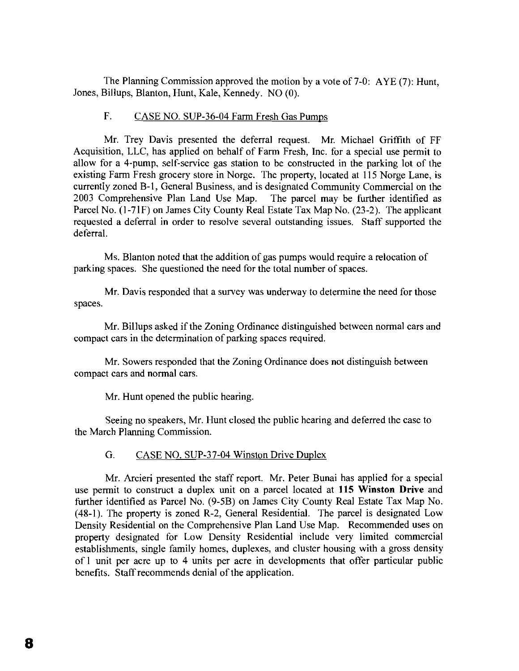The Planning Commission approved the motion by a vote of 7-0: AYE (7): Hunt, Jones, Billups, Blanton, Hunt, Kale, Kennedy. NO (0).

# F. CASE NO. SUP-36-04 Farm Fresh Gas Pumps

Mr. Trey Davis presented the deferral request. Mr. Michael Griffith of FF Acquisition, LLC, has applied on behalf of Farm Fresh, Inc. for a special use permit to allow for a 4-pump, self-service gas station to be constructed in the parking lot of the existing Farm Fresh grocery store in Norge. The property, located at 115 Norge Lane, is currently zoned B-1, General Business, and is designated Community Commercial on the 2003 Comprehensive Plan Land Use Map. The parcel may be further identified as Parcel No. (l-7IF) on James City County Real Estate Tax Map No. (23-2). The applicant requested a deferral in order to resolve several outstanding issues. Staff supported the deferral.

Ms. Blanton noted that the addition of gas pumps would require a relocation of parking spaces. She questioned the need for the total number of spaces.

Mr. Davis responded that a survey was underway to determine the need for those spaces.

Mr. Billups asked if the Zoning Ordinance distinguished between normal cars and compact cars in the determination of parking spaces required.

Mr. Sowers responded that the Zoning Ordinance does not distinguish between compact cars and normal cars.

Mr. Hunt opened the public hearing.

Seeing no speakers, Mr. Hunt closed the public hearing and deferred the case to the March Planning Commission.

## G. CASE NO. SUP-37-04 Winston Drive Duplex

Mr. Arcieri presented the staff report. Mr. Peter Bunai has applied for a special use permit to construct a duplex unit on a parcel located at **115 Winston Drive** and further identified as Parcel No. (9-5B) on James City County Real Estate Tax Map No. (48-1). The property is zoned R-2, General Residential. The parcel is designated Low Density Residential on the Comprehensive Plan Land Use Map. Recommended uses on property designated for Low Density Residential include very limited commercial establishments, single family homes, duplexes, and cluster housing with a gross density of I unit per acre up to 4 units per acre in developments that offer particular public benefits. Staff recommends denial of the application.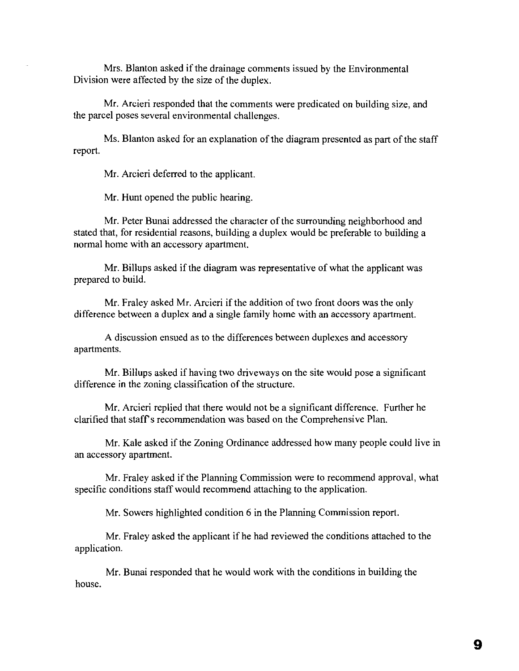Mrs. Blanton asked if the drainage comments issued by the Environmental Division were affected by the size of the duplex.

Mr. Arcieri responded that the comments were predicated on building size, and the parcel poses several environmental challenges.

Ms. Blanton asked for an explanation of the diagram presented as part of the staff report.

Mr. Arcieri deferred to the applicant.

Mr. Hunt opened the public hearing.

Mr. Peter Bunai addressed the character of the surrounding neighborhood and stated that, for residential reasons, building a duplex would be preferable to building a normal horne with an accessory apartment.

Mr. Billups asked if the diagram was representative of what the applicant was prepared to build.

Mr. Fraley asked Mr. Arcieri if the addition of two front doors was the only difference between a duplex and a single family home with an accessory apartment.

A discussion ensued as to the differences between duplexes and accessory apartments.

Mr. Billups asked if having two driveways on the site would pose a significant difference in the zoning classification of the structure.

Mr. Arcieri replied that there would not be a significant difference. Further he clarified that staff's recommendation was based on the Comprehensive Plan.

Mr. Kale asked if the Zoning Ordinance addressed how many people could live in an accessory apartment.

Mr. Fraley asked if the Planning Commission were to recommend approval, what specific conditions staff would recommend attaching to the application.

Mr. Sowers highlighted condition 6 in the Planning Commission report.

Mr. Fraley asked the applicant if he had reviewed the conditions attached to the application.

Mr. Bunai responded that he would work with the conditions in building the house.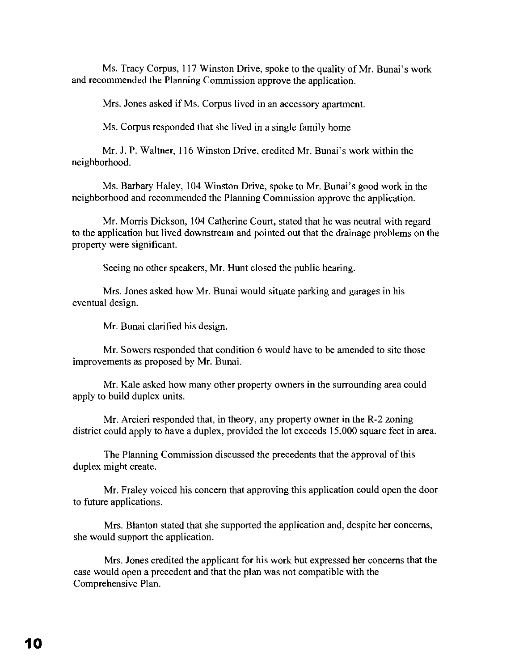Ms. Tracy Corpus, 117 Winston Drive, spoke to the quality of Mr. Bunai's work and recommended the Planning Commission approve the application.

Mrs. Jones asked if Ms. Corpus lived in an accessory apartment.

Ms. Corpus responded that she lived in a single family home.

Mr. 1.P. Waltner, 116 Winston Drive, credited Mr. Bunai's work within the neighborhood.

Ms. Barbary Haley, 104 Winston Drive, spoke to Mr. Bunai's good work in the neighborhood and recommended the Planning Commission approve the application.

Mr. Morris Dickson, 104 Catherine Court, stated that he was neutral with regard to the application but lived downstream and pointed out that the drainage problems on the property were significant.

Seeing no other speakers, Mr. Hunt closed the public hearing.

Mrs. Jones asked how Mr. Bunai would situate parking and garages in his eventual design.

Mr. Bunai clarified his design.

Mr. Sowers responded that condition 6 would have to be amended to site those improvements as proposed by Mr. Bunai.

Mr. Kale asked how many other property owners in the surrounding area could apply to build duplex units.

Mr. Arcieri responded that, in theory, any property owner in the R-2 zoning district could apply to have a duplex, provided the lot exceeds 15,000 square feet in area.

The Planning Commission discussed the precedents that the approval of this duplex might create.

Mr. Fraley voiced his concern that approving this application could open the door to future applications.

Mrs. Blanton stated that she supported the application and, despite her concerns, she would support the application.

Mrs. Jones credited the applicant for his work but expressed her concerns that the case would open a precedent and that the plan was not compatible with the Comprehensive Plan.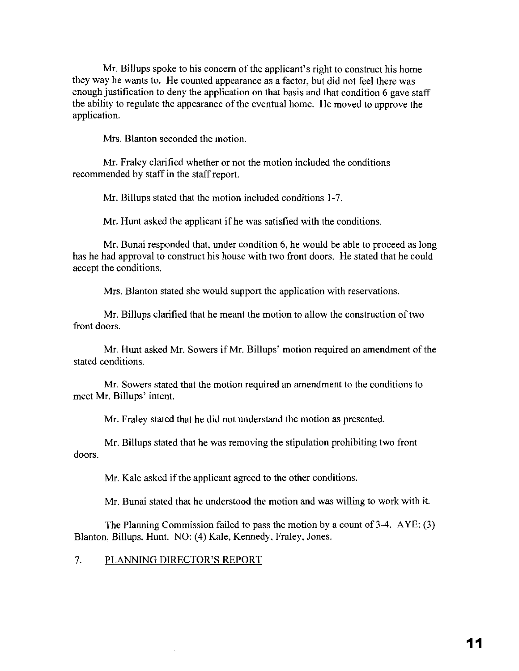Mr. Billups spoke to his concern of the applicant's right to construct his home they way he wants to. He counted appearance as a factor, but did not feel there was enough justification to deny the application on that basis and that condition 6 gave staff the ability to regulate the appearance of the eventual home. He moved to approve the application.

Mrs. Blanton seconded the motion.

Mr. Fraley clarified whether or not the motion included the conditions recommended by staff in the staff report.

Mr. Billups stated that the motion included conditions 1-7.

Mr. Hunt asked the applicant if he was satisfied with the conditions.

Mr. Bunai responded that, under condition 6, he would be able to proceed as long has he had approval to construct his house with two front doors. He stated that he could accept the conditions.

Mrs. Blanton stated she would support the application with reservations.

Mr. Billups clarified that he meant the motion to allow the construction of two front doors.

Mr. Hunt asked Mr. Sowers if Mr. Billups' motion required an amendment of the stated conditions.

Mr. Sowers stated that the motion required an amendment to the conditions to meet Mr. Billups' intent.

Mr. Fraley stated that he did not understand the motion as presented.

Mr. Billups stated that he was removing the stipulation prohibiting two front doors.

Mr. Kale asked if the applicant agreed to the other conditions.

Mr. Bunai stated that he understood the motion and was willing to work with it.

The Planning Commission failed to pass the motion by a count of 3-4. AYE: (3) Blanton, Billups, Hunt. NO: (4) Kale, Kennedy. Fraley, Jones.

### 7. PLANNING DIRECTOR'S REPORT